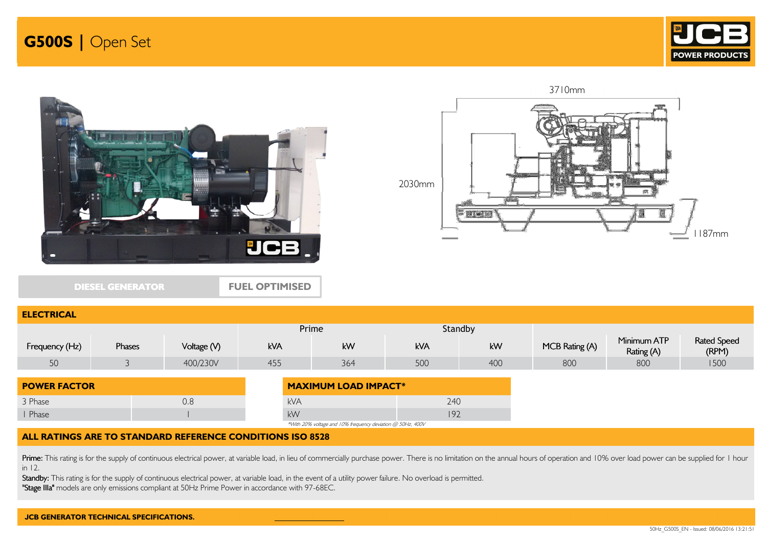





DIESEL GENERATOR

ELECTRICA

FUEL OPTIMISED



| <b>LLLVINVAL</b>    |        |             |                             |                                                            |     |         |                |                           |                             |
|---------------------|--------|-------------|-----------------------------|------------------------------------------------------------|-----|---------|----------------|---------------------------|-----------------------------|
|                     |        |             | Prime                       |                                                            |     | Standby |                |                           |                             |
| Frequency (Hz)      | Phases | Voltage (V) | kVA                         | kW                                                         | kVA | kW      | MCB Rating (A) | Minimum ATP<br>Rating (A) | <b>Rated Speed</b><br>(RPM) |
| 50                  |        | 400/230V    | 455                         | 364                                                        | 500 | 400     | 800            | 800                       | 1500                        |
| <b>POWER FACTOR</b> |        |             | <b>MAXIMUM LOAD IMPACT*</b> |                                                            |     |         |                |                           |                             |
| 3 Phase             |        | 0.8         | <b>kVA</b>                  |                                                            | 240 |         |                |                           |                             |
| Phase               |        |             | kW                          |                                                            | 192 |         |                |                           |                             |
|                     |        |             |                             | *With 20% voltage and 10% frequency deviation @ 50Hz, 400V |     |         |                |                           |                             |

### ALL RATINGS ARE TO STANDARD REFERENCE CONDITIONS ISO 8528

Prime: This rating is for the supply of continuous electrical power, at variable load, in lieu of commercially purchase power. There is no limitation on the annual hours of operation and 10% over load power can be supplied in 12.

Standby: This rating is for the supply of continuous electrical power, at variable load, in the event of a utility power failure. No overload is permitted.

"Stage IIIa" models are only emissions compliant at 50Hz Prime Power in accordance with 97-68EC.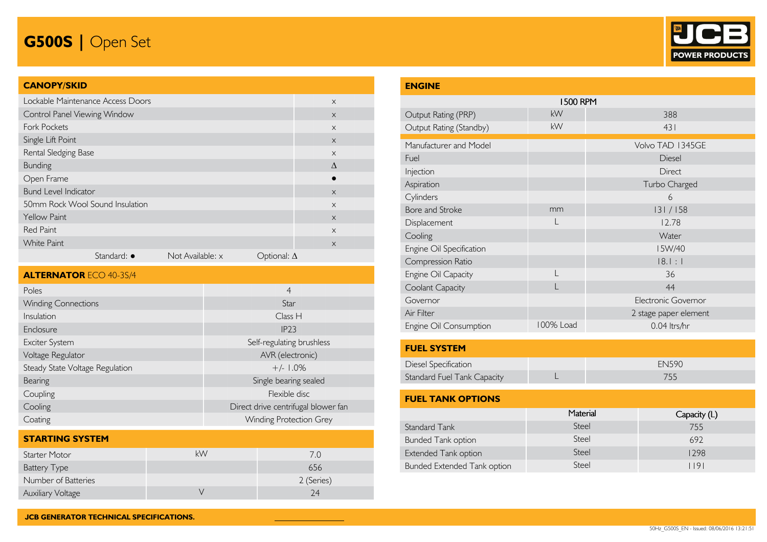## G500S | Open Set



### CANOPY/SKID

| Lockable Maintenance Access Doors |                     |                  |                    | $\times$  |
|-----------------------------------|---------------------|------------------|--------------------|-----------|
| Control Panel Viewing Window      |                     |                  |                    | $\times$  |
| <b>Fork Pockets</b>               |                     |                  |                    | $\times$  |
| Single Lift Point                 |                     |                  |                    | $\times$  |
| Rental Sledging Base              |                     |                  |                    | $\times$  |
| <b>Bunding</b>                    |                     |                  |                    | $\Lambda$ |
| Open Frame                        |                     |                  |                    |           |
| <b>Bund Level Indicator</b>       |                     |                  |                    | $\times$  |
| 50mm Rock Wool Sound Insulation   |                     |                  |                    | $\times$  |
| <b>Yellow Paint</b>               |                     |                  |                    | $\times$  |
| <b>Red Paint</b>                  |                     |                  |                    | $\times$  |
| <b>White Paint</b>                |                     |                  |                    | $\times$  |
|                                   | Standard: $\bullet$ | Not Available: x | Optional: $\Delta$ |           |

| <b>ALTERNATOR ECO 40-3S/4</b>   |                                     |
|---------------------------------|-------------------------------------|
| Poles                           | $\overline{4}$                      |
| <b>Winding Connections</b>      | Star                                |
| Insulation                      | Class H                             |
| Enclosure                       | IP23                                |
| Exciter System                  | Self-regulating brushless           |
| Voltage Regulator               | AVR (electronic)                    |
| Steady State Voltage Regulation | $+/- 1.0%$                          |
| Bearing                         | Single bearing sealed               |
| Coupling                        | Flexible disc                       |
| Cooling                         | Direct drive centrifugal blower fan |
| Coating                         | <b>Winding Protection Grey</b>      |

| <b>STARTING SYSTEM</b>   |    |            |
|--------------------------|----|------------|
| Starter Motor            | kW | 7.0        |
| <b>Battery Type</b>      |    | 656        |
| Number of Batteries      |    | 2 (Series) |
| <b>Auxiliary Voltage</b> |    | 24         |

| <b>ENGINE</b>                      |                 |                       |  |  |  |  |
|------------------------------------|-----------------|-----------------------|--|--|--|--|
|                                    | <b>1500 RPM</b> |                       |  |  |  |  |
| Output Rating (PRP)                | kW              | 388                   |  |  |  |  |
| Output Rating (Standby)            | kW              | 431                   |  |  |  |  |
| Manufacturer and Model             |                 | Volvo TAD 1345GE      |  |  |  |  |
| Fuel                               |                 | Diesel                |  |  |  |  |
| Injection                          |                 | <b>Direct</b>         |  |  |  |  |
| Aspiration                         |                 | Turbo Charged         |  |  |  |  |
| Cylinders                          |                 | 6                     |  |  |  |  |
| Bore and Stroke                    | mm              | 131/158               |  |  |  |  |
| Displacement                       |                 | 12.78                 |  |  |  |  |
| Cooling                            |                 | Water                 |  |  |  |  |
| Engine Oil Specification           |                 | I5W/40                |  |  |  |  |
| Compression Ratio                  |                 | 18.1:1                |  |  |  |  |
| Engine Oil Capacity                | $\mathsf{L}$    | 36                    |  |  |  |  |
| Coolant Capacity                   |                 | 44                    |  |  |  |  |
| Governor                           |                 | Electronic Governor   |  |  |  |  |
| Air Filter                         |                 | 2 stage paper element |  |  |  |  |
| Engine Oil Consumption             | 100% Load       | 0.04 ltrs/hr          |  |  |  |  |
| <b>FUEL SYSTEM</b>                 |                 |                       |  |  |  |  |
| Diesel Specification               |                 | <b>EN590</b>          |  |  |  |  |
| <b>Standard Fuel Tank Capacity</b> |                 | 755                   |  |  |  |  |
| <b>FUEL TANK OPTIONS</b>           |                 |                       |  |  |  |  |
|                                    | Material        | Capacity (L)          |  |  |  |  |

Standard Tank **Steel 7555** 

Bunded Tank option Steel Steel 692 Extended Tank option and Tank of the Steel 1298 Bunded Extended Tank option and Steel 1191

755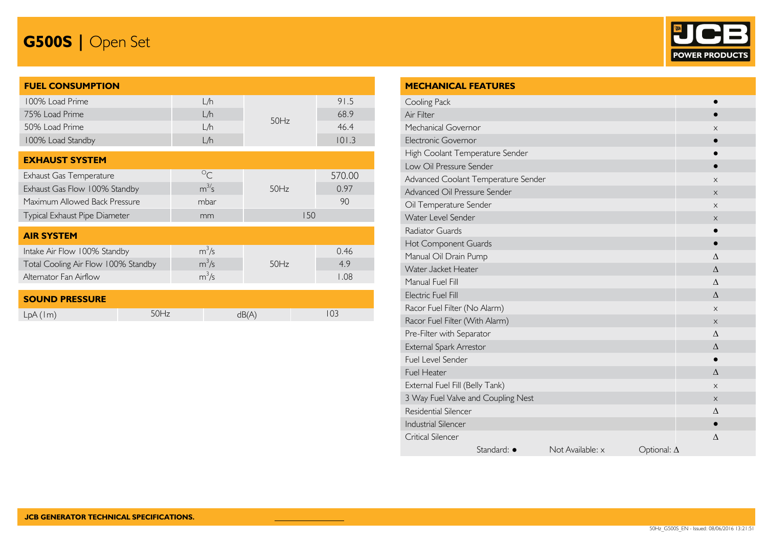# G500S | Open Set



| <b>FUEL CONSUMPTION</b>             |             |      |        |
|-------------------------------------|-------------|------|--------|
| 100% Load Prime                     | L/h         |      | 91.5   |
| 75% Load Prime                      | L/h         |      | 68.9   |
| 50% Load Prime                      | L/h         | 50Hz | 46.4   |
| 100% Load Standby                   | L/h         |      | 101.3  |
|                                     |             |      |        |
| <b>EXHAUST SYSTEM</b>               |             |      |        |
| Exhaust Gas Temperature             | $\circ_{C}$ |      | 570.00 |
| Exhaust Gas Flow 100% Standby       | $m^{3/5}$   | 50Hz | 0.97   |
| Maximum Allowed Back Pressure       | mbar        |      | 90     |
| Typical Exhaust Pipe Diameter       | mm          | 150  |        |
| <b>AIR SYSTEM</b>                   |             |      |        |
|                                     |             |      |        |
| Intake Air Flow 100% Standby        | $m^3/s$     |      | 0.46   |
| Total Cooling Air Flow 100% Standby | $m^3/s$     | 50Hz | 4.9    |
| Alternator Fan Airflow              | $m^3/s$     |      | 1.08   |
| <b>SOUND PRESSURE</b>               |             |      |        |

| <b>SOUND PRESSURE</b> |               |  |
|-----------------------|---------------|--|
| LpA (Im)              | $\overline{}$ |  |

| <b>MECHANICAL FEATURES</b>          |                  |                    |           |
|-------------------------------------|------------------|--------------------|-----------|
| Cooling Pack                        |                  |                    |           |
| Air Filter                          |                  |                    |           |
| Mechanical Governor                 |                  |                    | X         |
| <b>Electronic Governor</b>          |                  |                    |           |
| High Coolant Temperature Sender     |                  |                    |           |
| Low Oil Pressure Sender             |                  |                    |           |
| Advanced Coolant Temperature Sender |                  |                    | $\times$  |
| Advanced Oil Pressure Sender        |                  |                    | $\times$  |
| Oil Temperature Sender              |                  |                    | X         |
| Water Level Sender                  |                  |                    | $\times$  |
| Radiator Guards                     |                  |                    |           |
| Hot Component Guards                |                  |                    | $\bullet$ |
| Manual Oil Drain Pump               |                  |                    | Δ         |
| Water Jacket Heater                 |                  |                    | $\Lambda$ |
| Manual Fuel Fill                    |                  |                    | $\wedge$  |
| Electric Fuel Fill                  |                  |                    | $\Delta$  |
| Racor Fuel Filter (No Alarm)        |                  |                    | X         |
| Racor Fuel Filter (With Alarm)      |                  |                    | $\times$  |
| Pre-Filter with Separator           |                  |                    | $\wedge$  |
| External Spark Arrestor             |                  |                    | Δ         |
| Fuel Level Sender                   |                  |                    |           |
| Fuel Heater                         |                  |                    | $\Delta$  |
| External Fuel Fill (Belly Tank)     |                  |                    | $\times$  |
| 3 Way Fuel Valve and Coupling Nest  |                  |                    | $\times$  |
| <b>Residential Silencer</b>         |                  |                    | Δ         |
| <b>Industrial Silencer</b>          |                  |                    | $\bullet$ |
| <b>Critical Silencer</b>            |                  |                    | $\Delta$  |
| Standard: $\bullet$                 | Not Available: x | Optional: $\Delta$ |           |